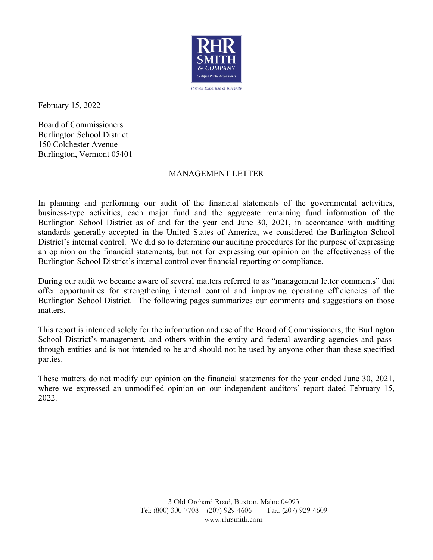

February 15, 2022

Board of Commissioners Burlington School District 150 Colchester Avenue Burlington, Vermont 05401

### MANAGEMENT LETTER

In planning and performing our audit of the financial statements of the governmental activities, business-type activities, each major fund and the aggregate remaining fund information of the Burlington School District as of and for the year end June 30, 2021, in accordance with auditing standards generally accepted in the United States of America, we considered the Burlington School District's internal control. We did so to determine our auditing procedures for the purpose of expressing an opinion on the financial statements, but not for expressing our opinion on the effectiveness of the Burlington School District's internal control over financial reporting or compliance.

During our audit we became aware of several matters referred to as "management letter comments" that offer opportunities for strengthening internal control and improving operating efficiencies of the Burlington School District. The following pages summarizes our comments and suggestions on those matters.

This report is intended solely for the information and use of the Board of Commissioners, the Burlington School District's management, and others within the entity and federal awarding agencies and passthrough entities and is not intended to be and should not be used by anyone other than these specified parties.

These matters do not modify our opinion on the financial statements for the year ended June 30, 2021, where we expressed an unmodified opinion on our independent auditors' report dated February 15, 2022.

> 3 Old Orchard Road, Buxton, Maine 04093 Tel: (800) 300-7708 (207) 929-4606 Fax: (207) 929-4609 www.rhrsmith.com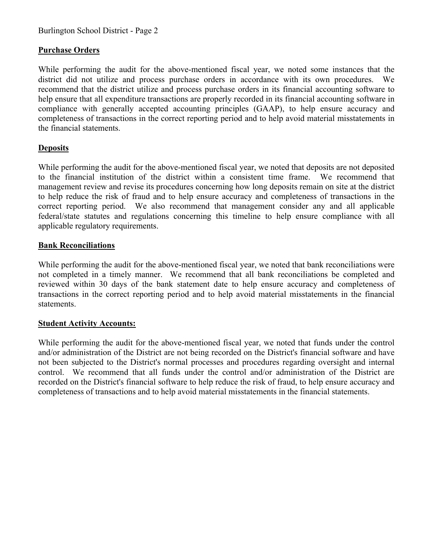# **Purchase Orders**

While performing the audit for the above-mentioned fiscal year, we noted some instances that the district did not utilize and process purchase orders in accordance with its own procedures. We recommend that the district utilize and process purchase orders in its financial accounting software to help ensure that all expenditure transactions are properly recorded in its financial accounting software in compliance with generally accepted accounting principles (GAAP), to help ensure accuracy and completeness of transactions in the correct reporting period and to help avoid material misstatements in the financial statements.

# **Deposits**

While performing the audit for the above-mentioned fiscal year, we noted that deposits are not deposited to the financial institution of the district within a consistent time frame. We recommend that management review and revise its procedures concerning how long deposits remain on site at the district to help reduce the risk of fraud and to help ensure accuracy and completeness of transactions in the correct reporting period. We also recommend that management consider any and all applicable federal/state statutes and regulations concerning this timeline to help ensure compliance with all applicable regulatory requirements.

## **Bank Reconciliations**

While performing the audit for the above-mentioned fiscal year, we noted that bank reconciliations were not completed in a timely manner. We recommend that all bank reconciliations be completed and reviewed within 30 days of the bank statement date to help ensure accuracy and completeness of transactions in the correct reporting period and to help avoid material misstatements in the financial statements.

### **Student Activity Accounts:**

While performing the audit for the above-mentioned fiscal year, we noted that funds under the control and/or administration of the District are not being recorded on the District's financial software and have not been subjected to the District's normal processes and procedures regarding oversight and internal control. We recommend that all funds under the control and/or administration of the District are recorded on the District's financial software to help reduce the risk of fraud, to help ensure accuracy and completeness of transactions and to help avoid material misstatements in the financial statements.